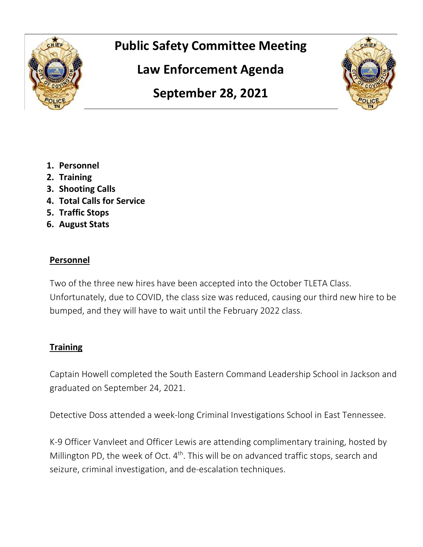

# **Public Safety Committee Meeting**

**Law Enforcement Agenda** 

**September 28, 2021** 



- **1. Personnel**
- **2. Training**
- **3. Shooting Calls**
- **4. Total Calls for Service**
- **5. Traffic Stops**
- **6. August Stats**

## **Personnel**

Two of the three new hires have been accepted into the October TLETA Class. Unfortunately, due to COVID, the class size was reduced, causing our third new hire to be bumped, and they will have to wait until the February 2022 class.

# **Training**

Captain Howell completed the South Eastern Command Leadership School in Jackson and graduated on September 24, 2021.

Detective Doss attended a week-long Criminal Investigations School in East Tennessee.

K-9 Officer Vanvleet and Officer Lewis are attending complimentary training, hosted by Millington PD, the week of Oct.  $4<sup>th</sup>$ . This will be on advanced traffic stops, search and seizure, criminal investigation, and de-escalation techniques.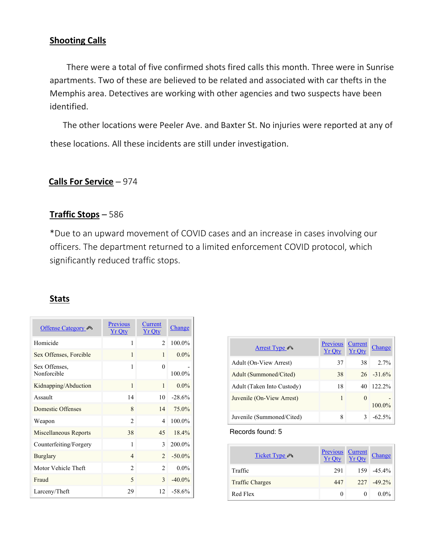## **Shooting Calls**

 There were a total of five confirmed shots fired calls this month. Three were in Sunrise apartments. Two of these are believed to be related and associated with car thefts in the Memphis area. Detectives are working with other agencies and two suspects have been identified.

 The other locations were Peeler Ave. and Baxter St. No injuries were reported at any of these locations. All these incidents are still under investigation.

### **Calls For Service** – 974

## **Traffic Stops** – 586

\*Due to an upward movement of COVID cases and an increase in cases involving our officers. The department returned to a limited enforcement COVID protocol, which significantly reduced traffic stops.

### **Stats**

| <b>Offense Category</b>      | <b>Previous</b><br><b>Yr Qty</b> | Current<br><b>Yr Qty</b>    | Change    |
|------------------------------|----------------------------------|-----------------------------|-----------|
| Homicide                     | 1                                | $\mathfrak{D}$              | 100.0%    |
| Sex Offenses, Forcible       | 1                                | 1                           | $0.0\%$   |
| Sex Offenses,<br>Nonforcible | 1                                | $\Omega$                    | 100.0%    |
| Kidnapping/Abduction         | $\mathbf{1}$                     | $\mathbf{1}$                | $0.0\%$   |
| Assault                      | 14                               | 10                          | $-28.6%$  |
| Domestic Offenses            | 8                                | 14                          | 75.0%     |
| Weapon                       | $\mathfrak{D}$                   | 4                           | 100.0%    |
| Miscellaneous Reports        | 38                               | 45                          | 18.4%     |
| Counterfeiting/Forgery       | 1                                | $\mathcal{E}$               | 200.0%    |
| Burglary                     | $\overline{4}$                   | $\mathcal{D}$               | $-50.0\%$ |
| Motor Vehicle Theft          | $\overline{2}$                   | $\mathcal{D}_{\mathcal{L}}$ | $0.0\%$   |
| Fraud                        | $\overline{\phantom{0}}$         | $\mathcal{L}$               | $-40.0\%$ |
| Larceny/Theft                | 29                               | 12                          | $-58.6%$  |

| Arrest Type                | Previous<br><b>Yr Otv</b> | Current<br><b>Yr Otv</b> | Change        |
|----------------------------|---------------------------|--------------------------|---------------|
| Adult (On-View Arrest)     | 37                        | 38                       | $2.7\%$       |
| Adult (Summoned/Cited)     | 38                        |                          | $26 - 31.6\%$ |
| Adult (Taken Into Custody) | 18                        | 40                       | $122.2\%$     |
| Juvenile (On-View Arrest)  | 1                         | $\theta$                 | $100.0\%$     |
| Juvenile (Summoned/Cited)  | 8                         | ζ                        | $-62.5\%$     |

Records found: 5

| Ticket Type            | $\frac{\text{Previous}}{\text{Yr Qty}} \frac{\text{Current}}{\text{Yr Qty}}$ | Change         |
|------------------------|------------------------------------------------------------------------------|----------------|
| Traffic                | 291                                                                          | 159 - 45.4%    |
| <b>Traffic Charges</b> | 447                                                                          | $227 - 49.2\%$ |
| Red Flex               | $\mathbf{0}$                                                                 | $0.0\%$        |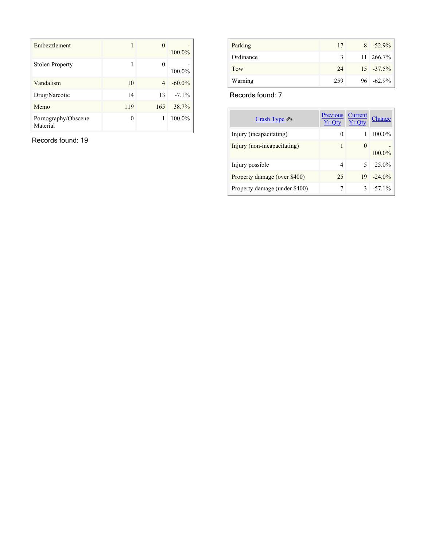| Embezzlement                    |          | 0   | 100.0%    |
|---------------------------------|----------|-----|-----------|
| <b>Stolen Property</b>          | 1        | 0   | 100.0%    |
| Vandalism                       | 10       | 4   | $-60.0\%$ |
| Drug/Narcotic                   | 14       | 13  | $-7.1\%$  |
| Memo                            | 119      | 165 | 38.7%     |
| Pornography/Obscene<br>Material | $\theta$ | 1   | 100.0%    |

Records found: 19

| Parking   | 17            | $8 - 52.9\%$  |
|-----------|---------------|---------------|
| Ordinance | $\mathcal{F}$ | 11 266.7%     |
| Tow       | 24            | $15 - 37.5\%$ |
| Warning   | 259           | $96 - 62.9\%$ |

Records found: 7

| Crash Type                    | <b>Previous</b><br><b>Yr Otv</b> | Current<br><b>Yr Otv</b> | Change    |
|-------------------------------|----------------------------------|--------------------------|-----------|
| Injury (incapacitating)       | 0                                |                          | 100.0%    |
| Injury (non-incapacitating)   | 1                                | $\theta$                 | $100.0\%$ |
| Injury possible               | 4                                | 5                        | 25.0%     |
| Property damage (over \$400)  | 25                               | 19                       | $-24.0\%$ |
| Property damage (under \$400) |                                  | 3                        | $-57.1\%$ |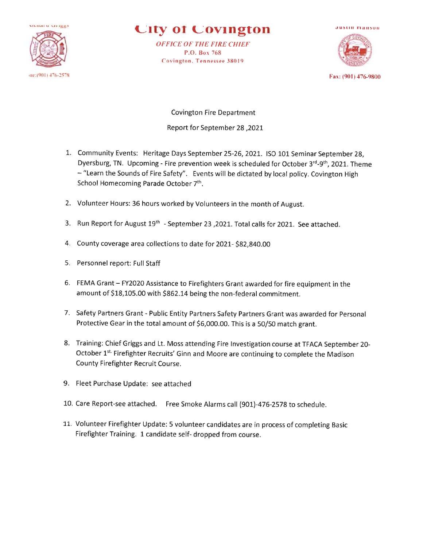

## **City of Covington**

**OFFICE OF THE FIRE CHIEF** P.O. Box 768 Covington, Tennessee 38019



Fax: (901) 476-9800

**Covington Fire Department** 2021, Report for September 28

- 1. Community Events: Heritage Days September 25-26, 2021. ISO 101 Seminar September 28, Dyersburg, TN. Upcoming - Fire prevention week is scheduled for October 3rd-9th, 2021. Theme - "Learn the Sounds of Fire Safety". Events will be dictated by local policy. Covington High School Homecoming Parade October 7th.
- 2. Volunteer Hours: 36 hours worked by Volunteers in the month of August.
- 3. Run Report for August 19th September 23, 2021. Total calls for 2021. See attached.
- 4. County coverage area collections to date for 2021-\$82,840.00
- 5. Personnel report: Full Staff
- 6. FEMA Grant FY2020 Assistance to Firefighters Grant awarded for fire equipment in the amount of \$18,105.00 with \$862.14 being the non-federal commitment.
- 7. Safety Partners Grant Public Entity Partners Safety Partners Grant was awarded for Personal Protective Gear in the total amount of \$6,000.00. This is a 50/50 match grant.
- 8. Training: Chief Griggs and Lt. Moss attending Fire Investigation course at TFACA September 20-October 1<sup>st.</sup> Firefighter Recruits' Ginn and Moore are continuing to complete the Madison County Firefighter Recruit Course.
- 9. Fleet Purchase Update: see attached
- 10. Care Report-see attached. Free Smoke Alarms call (901)-476-2578 to schedule.
- 11. Volunteer Firefighter Update: 5 volunteer candidates are in process of completing Basic Firefighter Training. 1 candidate self- dropped from course.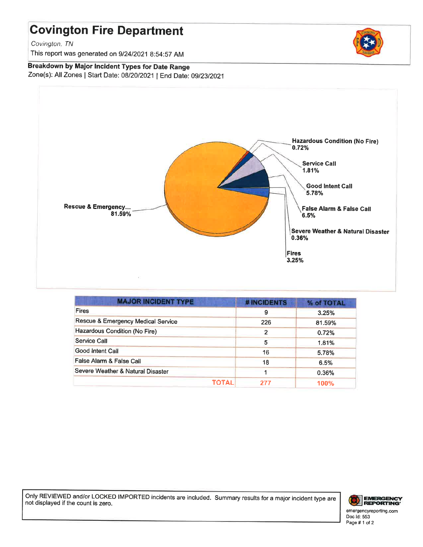# **Covington Fire Department**

Covington, TN

This report was generated on 9/24/2021 8:54:57 AM

Breakdown by Major Incident Types for Date Range Zone(s): All Zones | Start Date: 08/20/2021 | End Date: 09/23/2021



| <b>MAJOR INCIDENT TYPE</b>         | # INCIDENTS | % of TOTAL |
|------------------------------------|-------------|------------|
| <b>Fires</b>                       | 9           | 3.25%      |
| Rescue & Emergency Medical Service | 226         | 81.59%     |
| Hazardous Condition (No Fire)      | 2           | 0.72%      |
| Service Call                       | 5           | 1.81%      |
| Good Intent Call                   | 16          | 5.78%      |
| False Alarm & False Call           | 18          | 6.5%       |
| Severe Weather & Natural Disaster  |             | 0.36%      |
| ΤΟΤΑL                              | 277         | 100%       |

Only REVIEWED and/or LOCKED IMPORTED incidents are included. Summary results for a major incident type are not displayed if the count is zero.



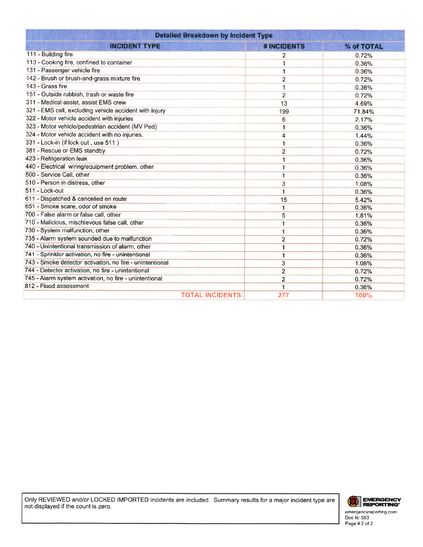| <b>Detailed Breakdown by Incident Type</b>               |                |            |
|----------------------------------------------------------|----------------|------------|
| <b>INCIDENT TYPE</b>                                     | # INCIDENTS    | % of TOTAL |
| 111 - Building fire                                      | 2              | 0.72%      |
| 113 - Cooking fire, confined to container                | 1              | 0.36%      |
| 131 - Passenger vehicle fire                             | 1              | 0.36%      |
| 142 - Brush or brush-and-grass mixture fire              | $\overline{2}$ | 0.72%      |
| 143 - Grass fire                                         |                | 0.36%      |
| 151 - Outside rubbish, trash or waste fire               | $\overline{2}$ | 0.72%      |
| 311 - Medical assist, assist EMS crew                    | 13             | 4.69%      |
| 321 - EMS call, excluding vehicle accident with injury   | 199            | 71.84%     |
| 322 - Motor vehicle accident with injuries               | 6              | 2.17%      |
| 323 - Motor vehicle/pedestrian accident (MV Ped)         | 1              | 0.36%      |
| 324 - Motor vehicle accident with no injuries.           | 4              | 1.44%      |
| 331 - Lock-in (if lock out, use 511)                     | 1              | 0.36%      |
| 381 - Rescue or EMS standby                              | $\overline{2}$ | 0.72%      |
| 423 - Refrigeration leak                                 | 1              | 0.36%      |
| 440 - Electrical wiring/equipment problem, other         |                | 0.36%      |
| 500 - Service Call, other                                | 1              | 0.36%      |
| 510 - Person in distress, other                          | 3              | 1.08%      |
| 511 - Lock-out                                           | 1              | 0.36%      |
| 611 - Dispatched & cancelled en route                    | 15             | 5.42%      |
| 651 - Smoke scare, odor of smoke                         | 1              | 0.36%      |
| 700 - False alarm or false call, other                   | 5              | 1,81%      |
| 710 - Malicious, mischievous false call, other           |                | 0.36%      |
| 730 - System malfunction, other                          | 1              | 0.36%      |
| 735 - Alarm system sounded due to malfunction            | $\overline{2}$ | 0.72%      |
| 740 - Unintentional transmission of alarm, other         |                | 0.36%      |
| 741 - Sprinkler activation, no fire - unintentional      | 1              | 0.36%      |
| 743 - Smoke detector activation, no fire - unintentional | 3              | 1.08%      |
| 744 - Detector activation, no fire - unintentional       | $\overline{2}$ | 0.72%      |
| 745 - Alarm system activation, no fire - unintentional   | 2              | 0.72%      |
| 812 - Flood assessment                                   | 1              | 0.36%      |
| <b>TOTAL INCIDENTS:</b>                                  | 277            | 100%       |

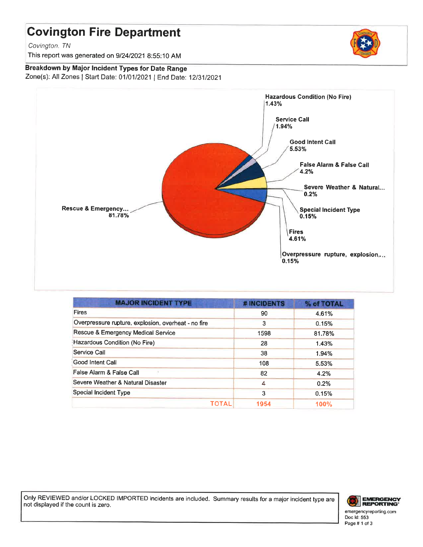# **Covington Fire Department**

Covington, TN

This report was generated on 9/24/2021 8:55:10 AM

## Breakdown by Major Incident Types for Date Range

Zone(s): All Zones | Start Date: 01/01/2021 | End Date: 12/31/2021



| <b>MAJOR INCIDENT TYPE</b>                          | # INCIDENTS | % of TOTAL  |
|-----------------------------------------------------|-------------|-------------|
| <b>Fires</b>                                        | 90          | 4.61%       |
| Overpressure rupture, explosion, overheat - no fire | 3           | 0.15%       |
| Rescue & Emergency Medical Service                  | 1598        | 81.78%      |
| Hazardous Condition (No Fire)                       | 28          | 1.43%       |
| Service Call                                        | 38          | 1.94%       |
| Good Intent Call                                    | 108         | 5.53%       |
| False Alarm & False Call                            | 82          | 4.2%        |
| Severe Weather & Natural Disaster                   | 4           | 0.2%        |
| <b>Special Incident Type</b>                        | 3           | 0.15%       |
| ΤΟΤΑL                                               | 1954        | <b>100%</b> |

Only REVIEWED and/or LOCKED IMPORTED incidents are included. Summary results for a major incident type are not displayed if the count is zero.



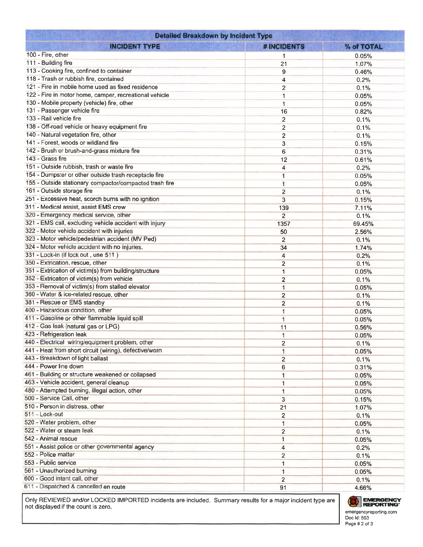| <b>Detailed Breakdown by Incident Type</b>                                                                 |                         |            |
|------------------------------------------------------------------------------------------------------------|-------------------------|------------|
| <b>INCIDENT TYPE</b>                                                                                       | # INCIDENTS             | % of TOTAL |
| 100 - Fire, other                                                                                          | 1                       | 0.05%      |
| 111 - Building fire                                                                                        | 21                      | 1.07%      |
| 113 - Cooking fire, confined to container                                                                  | 9                       | 0.46%      |
| 118 - Trash or rubbish fire, contained                                                                     | 4                       | 0.2%       |
| 121 - Fire in mobile home used as fixed residence                                                          | $\overline{2}$          | 0.1%       |
| 122 - Fire in motor home, camper, recreational vehicle                                                     | 1                       | 0.05%      |
| 130 - Mobile property (vehicle) fire, other                                                                | 1                       | 0.05%      |
| 131 - Passenger vehicle fire                                                                               | 16                      | 0.82%      |
| 133 - Rail vehicle fire                                                                                    | $\overline{2}$          | 0.1%       |
| 138 - Off-road vehicle or heavy equipment fire                                                             | $\overline{2}$          | 0.1%       |
| 140 - Natural vegetation fire, other                                                                       | $\overline{\mathbf{c}}$ | 0.1%       |
| 141 - Forest, woods or wildland fire                                                                       | 3                       | 0.15%      |
| 142 - Brush or brush-and-grass mixture fire                                                                | 6                       | 0.31%      |
| 143 - Grass fire                                                                                           | 12                      | 0.61%      |
| 151 - Outside rubbish, trash or waste fire                                                                 | 4                       | 0.2%       |
| 154 - Dumpster or other outside trash receptacle fire                                                      | 1                       | 0.05%      |
| 155 - Outside stationary compactor/compacted trash fire                                                    | $\mathbf{1}$            | 0.05%      |
| 161 - Outside storage fire                                                                                 | $\overline{2}$          | 0.1%       |
| 251 - Excessive heat, scorch burns with no ignition                                                        | 3                       | 0.15%      |
| 311 - Medical assist, assist EMS crew                                                                      | 139                     | 7.11%      |
| 320 - Emergency medical service, other                                                                     | $\overline{2}$          | 0.1%       |
| 321 - EMS call, excluding vehicle accident with injury                                                     | 1357                    | 69.45%     |
| 322 - Motor vehicle accident with injuries                                                                 | 50                      | 2.56%      |
| 323 - Motor vehicle/pedestrian accident (MV Ped)                                                           | $\overline{2}$          | 0.1%       |
| 324 - Motor vehicle accident with no injuries.                                                             | 34                      | 1.74%      |
| 331 - Lock-in (if lock out, use 511)                                                                       | 4                       |            |
| 350 - Extrication, rescue, other                                                                           |                         | 0.2%       |
| 351 - Extrication of victim(s) from building/structure                                                     | 2                       | 0.1%       |
| 352 - Extrication of victim(s) from vehicle                                                                | 1                       | 0.05%      |
| 353 - Removal of victim(s) from stalled elevator                                                           | $\overline{c}$          | 0.1%       |
| 360 - Water & ice-related rescue, other                                                                    | 1                       | 0.05%      |
| 381 - Rescue or EMS standby                                                                                | $\overline{2}$          | 0.1%       |
| 400 - Hazardous condition, other                                                                           | $\overline{2}$          | 0.1%       |
| 411 - Gasoline or other flammable liquid spill                                                             | 1                       | 0.05%      |
| 412 - Gas leak (natural gas or LPG)                                                                        | $\overline{1}$          | 0.05%      |
| 423 - Refrigeration leak                                                                                   | 11                      | 0.56%      |
|                                                                                                            | 1                       | 0.05%      |
| 440 - Electrical wiring/equipment problem, other<br>441 - Heat from short circuit (wiring), defective/worn | $\overline{2}$          | 0.1%       |
|                                                                                                            | 1                       | 0.05%      |
| 443 - Breakdown of light ballast<br>444 - Power line down                                                  | 2                       | 0.1%       |
|                                                                                                            | 6                       | 0.31%      |
| 461 - Building or structure weakened or collapsed                                                          | 1                       | 0.05%      |
| 463 - Vehicle accident, general cleanup                                                                    | 1                       | 0.05%      |
| 480 - Attempted burning, illegal action, other                                                             | 1                       | 0.05%      |
| 500 - Service Call, other                                                                                  | 3                       | 0.15%      |
| 510 - Person in distress, other                                                                            | 21                      | 1.07%      |
| 511 - Lock-out                                                                                             | $\overline{2}$          | 0.1%       |
| 520 - Water problem, other                                                                                 | $\mathbf{1}$            | 0.05%      |
| 522 - Water or steam leak                                                                                  | $\overline{2}$          | 0.1%       |
| 542 - Animal rescue                                                                                        | $\mathbf{1}$            | 0.05%      |
| 551 - Assist police or other governmental agency                                                           | 4                       | 0.2%       |
| 552 - Police matter                                                                                        | $\overline{2}$          | 0.1%       |
| 553 - Public service                                                                                       | 1                       | 0.05%      |
| 561 - Unauthorized burning                                                                                 | 1                       | 0.05%      |
| 600 - Good intent call, other                                                                              | $\overline{2}$          | 0.1%       |
| 611 - Dispatched & cancelled en route                                                                      | 91                      | 4.66%      |

Only REVIEWED and/or LOCKED IMPORTED incidents are included. Summary results for a major incident type are not displayed if the count is zero.

# EMERGENCY emergencyreporting.com<br>Doc Id: 553

Page # 2 of 3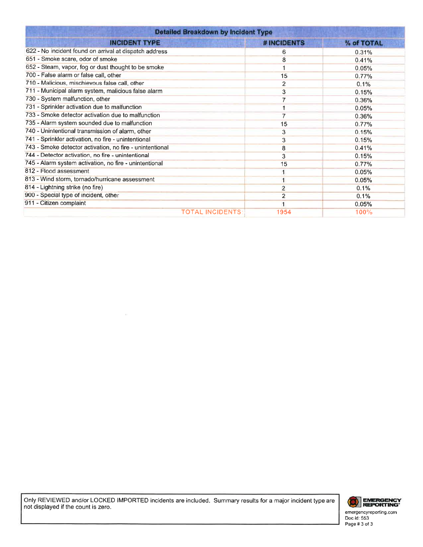| <b>Detailed Breakdown by Incident Type</b>               |                   |            |
|----------------------------------------------------------|-------------------|------------|
| <b>INCIDENT TYPE</b>                                     | <b>#INCIDENTS</b> | % of TOTAL |
| 622 - No incident found on arrival at dispatch address   | 6                 | 0.31%      |
| 651 - Smoke scare, odor of smoke                         | 8                 | 0.41%      |
| 652 - Steam, vapor, fog or dust thought to be smoke      |                   | 0.05%      |
| 700 - False alarm or false call, other                   | 15                | 0.77%      |
| 710 - Malicious, mischievous false call, other           | 2                 | 0.1%       |
| 711 - Municipal alarm system, malicious false alarm      | 3                 | 0.15%      |
| 730 - System malfunction, other                          |                   | 0.36%      |
| 731 - Sprinkler activation due to malfunction            |                   | 0.05%      |
| 733 - Smoke detector activation due to malfunction       |                   | 0.36%      |
| 735 - Alarm system sounded due to malfunction            | 15                | 0.77%      |
| 740 - Unintentional transmission of alarm, other         | 3                 | 0.15%      |
| 741 - Sprinkler activation, no fire - unintentional      | 3                 | 0.15%      |
| 743 - Smoke detector activation, no fire - unintentional | 8                 | 0.41%      |
| 744 - Detector activation, no fire - unintentional       | 3                 | 0.15%      |
| 745 - Alarm system activation, no fire - unintentional   | 15                | 0.77%      |
| 812 - Flood assessment                                   |                   | 0.05%      |
| 813 - Wind storm, tornado/hurricane assessment           |                   | 0.05%      |
| 814 - Lightning strike (no fire)                         |                   | 0.1%       |
| 900 - Special type of incident, other                    | 2                 | 0.1%       |
| 911 - Citizen complaint                                  |                   | 0.05%      |
| <b>TOTAL INCIDENTS</b>                                   | 1954              | 100%       |

Only REVIEWED and/or LOCKED IMPORTED incidents are included. Summary results for a major incident type are not displayed if the count is zero.

 $\bar{\nu}$ 



emergencyreporting.com<br>Doc Id: 553<br>Page # 3 of 3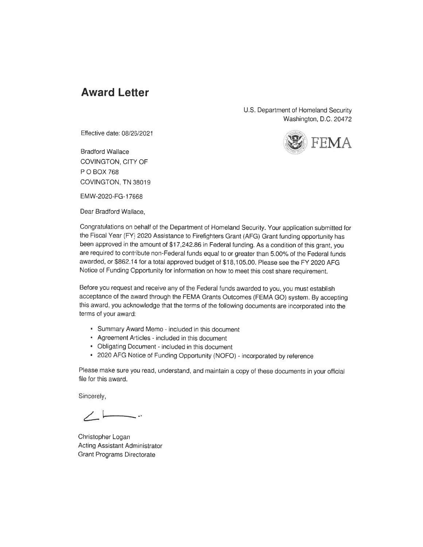## **Award Letter**

U.S. Department of Homeland Security Washington, D.C. 20472



**Bradford Wallace** COVINGTON, CITY OF P O BOX 768 COVINGTON, TN 38019

EMW-2020-FG-17668

Dear Bradford Wallace.



Congratulations on behalf of the Department of Homeland Security. Your application submitted for the Fiscal Year (FY) 2020 Assistance to Firefighters Grant (AFG) Grant funding opportunity has been approved in the amount of \$17,242.86 in Federal funding. As a condition of this grant, you are required to contribute non-Federal funds equal to or greater than 5.00% of the Federal funds awarded, or \$862.14 for a total approved budget of \$18,105.00. Please see the FY 2020 AFG Notice of Funding Opportunity for information on how to meet this cost share requirement.

Before you request and receive any of the Federal funds awarded to you, you must establish acceptance of the award through the FEMA Grants Outcomes (FEMA GO) system. By accepting this award, you acknowledge that the terms of the following documents are incorporated into the terms of your award:

- Summary Award Memo included in this document
- Agreement Articles included in this document
- Obligating Document included in this document
- \* 2020 AFG Notice of Funding Opportunity (NOFO) incorporated by reference

Please make sure you read, understand, and maintain a copy of these documents in your official file for this award.

Sincerely,

Christopher Logan Acting Assistant Administrator **Grant Programs Directorate**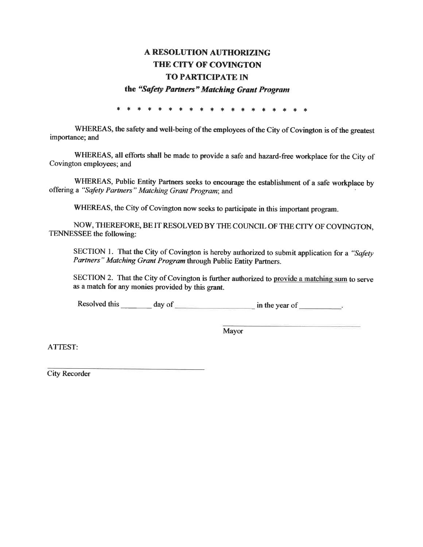## A RESOLUTION AUTHORIZING THE CITY OF COVINGTON **TO PARTICIPATE IN**

the "Safety Partners" Matching Grant Program

\* \* \* \* \* \* \* \* \* \* \* \* \* \* \* \* \*

WHEREAS, the safety and well-being of the employees of the City of Covington is of the greatest importance; and

WHEREAS, all efforts shall be made to provide a safe and hazard-free workplace for the City of Covington employees; and

WHEREAS, Public Entity Partners seeks to encourage the establishment of a safe workplace by offering a "Safety Partners" Matching Grant Program; and

WHEREAS, the City of Covington now seeks to participate in this important program.

NOW, THEREFORE, BE IT RESOLVED BY THE COUNCIL OF THE CITY OF COVINGTON, TENNESSEE the following:

SECTION 1. That the City of Covington is hereby authorized to submit application for a "Safety Partners" Matching Grant Program through Public Entity Partners.

SECTION 2. That the City of Covington is further authorized to provide a matching sum to serve as a match for any monies provided by this grant.

Resolved this  $\_\_\_\_\_\_\$  day of  $\_\_\_\_\_\_\_\$  in the year of  $\_\_\_\_\_\_\_\_\$ 

Mayor

ATTEST:

**City Recorder**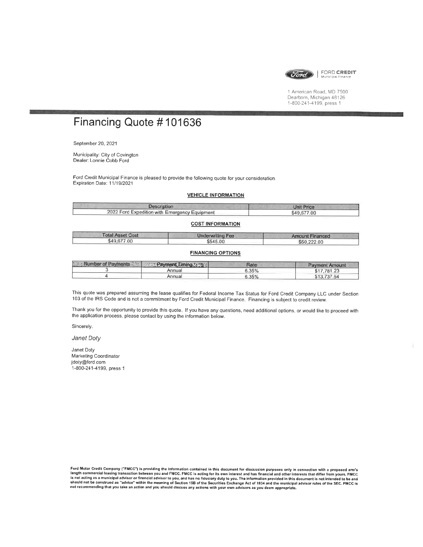

FORD CREDIT

1 American Road, MD 7500 Dearborn, Michigan 48126 1-800-241-4199, press 1

# Financing Quote #101636

September 20, 2021

Municipality: City of Covington Dealer: Lonnie Cobb Ford

Ford Credit Municipal Finance is pleased to provide the following quote for your consideration. Expiration Date: 11/19/2021

#### **VEHICLE INFORMATION**

| <b>Description</b>                            | <b>Unit Price</b> |
|-----------------------------------------------|-------------------|
| 2022 Ford Expedition with Emergency Equipment | \$49,677.00       |

#### **COST INFORMATION**

| <b>Total Asset Cost</b> | <b>Underwriting Fee</b> | <b>Amount Financed</b> |
|-------------------------|-------------------------|------------------------|
| \$49,677.00             | \$545.00                | \$50,222.00            |

#### **FINANCING OPTIONS**

| <b>Number of Payments 2521</b> | <b>The Rayment Timing Assist</b> | Rate  | <b>Payment Amount</b> |
|--------------------------------|----------------------------------|-------|-----------------------|
|                                | Annual                           | 6.35% | \$17.781.23           |
|                                | Annual                           | 6.35% | \$13.737.64           |

This quote was prepared assuming the lease qualifies for Federal Income Tax Status for Ford Credit Company LLC under Section 103 of the IRS Code and is not a commitment by Ford Credit Municipal Finance. Financing is subject to credit review

Thank you for the opportunity to provide this quote. If you have any questions, need additional options, or would like to proceed with the application process, please contact by using the information below.

Sincerely.

Janet Doty

Janet Doty Marketing Coordinator jdoty@ford.com 1-800-241-4199, press 1

Ford Motor Credit Company ("FMCC") is providing the information contained in this document for discussion purposes only in connection with a proposed arm's<br>length commercial leasing transaction between you and FMCC. FMCC i